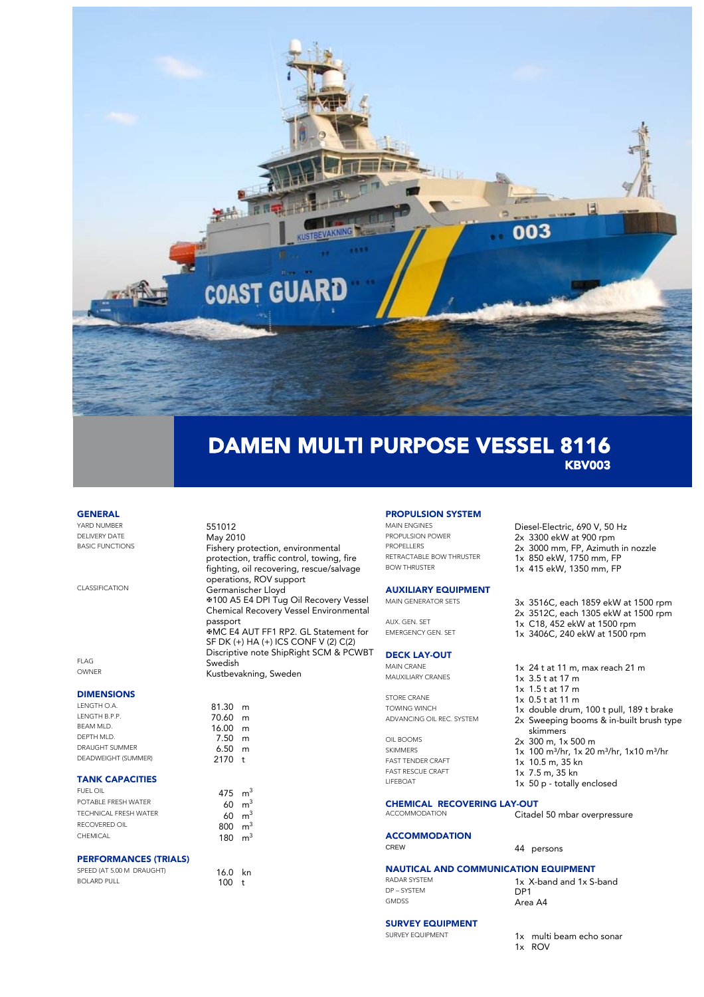

#### **GENERAL**

YARD NUMBER<br>
DELIVERY DATE DELIVERY DATE **May 2010**<br>BASIC FUNCTIONS **E**ishery Pr

CLASSIFICATION Germanischer Lloyd

FLAG Swedish

#### DIMENSIONS

LENGTH O.A. 81.30 m<br>LENGTH B.P.P. 81.30 m LENGTH B.P.P.<br>REAMMID 16.00 m BEAM MLD. 16.00 m DRAUGHT SUMMER
BEADWEIGHT (SUMMER) **6.50**m **DEADWEIGHT (SUMMER) 1999 1999 2170** DEADWEIGHT (SUMMER)

### TANK CAPACITIES

| FUEL OIL              | 475 $m3$          |  |
|-----------------------|-------------------|--|
| POTABLE FRESH WATER   | $60 \text{ m}^3$  |  |
| TECHNICAL ERESH WATER | $60 \text{ m}^3$  |  |
| RECOVERED OIL         | $800 \text{ m}^3$ |  |
| <b>CHEMICAL</b>       | 180 $m3$          |  |

#### PERFORMANCES (TRIALS)

SPEED (AT 5.00 M DRAUGHT) 16.0 kn BOLARD PULL 100 t

# **PROPULSION SYSTEM**<br>MAIN ENGINES

Fishery protection, environmental protection, traffic control, towing, fire fighting, oil recovering, rescue/salvage

?100 A5 E4 DPI Tug Oil Recovery Vessel Chemical Recovery Vessel Environmental

MC E4 AUT FF1 RP2. GL Statement for SF DK (+) HA (+) ICS CONF V (2) C(2) Discriptive note ShipRight SCM & PCWBT

operations, ROV support

Kustbevakning, Sweden

passport

 $7.50$  m<br>6.50 m

MAIN ENGINES<br>
PROPULSION POWER<br>
2x 3300 AkW at 900 rpm PROPULSION POWER<br>
PROPELLERS
2x 3000 mm FP Azimutl PROPELLERS<br> **PROPELLERS** 2x 3000 mm, FP, Azimuth in nozzle RETRACTABLE BOW THRUSTER 1x 850 ekW, 1750 mm, FP

# **AUXILIARY EQUIPMENT**<br>MAIN GENERATOR SETS

#### DECK LAY-OUT

STORE CRANE 1x 0.5 t at 11 m<br>TOWING WINCH 1x double drum

OIL BOOMS 2x 300 m, 1x 500 m<br>SKIMMERS 1x 100 m<sup>3/</sup>hr 1x 20 FAST RESCUE CRAFT 1x 7.5 m, 35 km<br>1x 7.5 m, 35 kn<br>1x 50 p, tatally

## **CHEMICAL RECOVERING LAY-OUT**<br>ACCOMMODATION Citade

**ACCOMMODATION** 

NAUTICAL AND COMMUNICATION EQUIPMENT DP – SYSTEM<br>GMDSS

RADAR SYSTEM 1x X-band and 1x S-band<br>
DP-SYSTEM DP1 Area A4

#### SURVEY EQUIPMENT

SURVEY EQUIPMENT 1x multi beam echo sonar

1x ROV

- BOW THRUSTER 1x 415 ekW, 1350 mm, FP
- 3x 3516C, each 1859 ekW at 1500 rpm 2x 3512C, each 1305 ekW at 1500 rpm AUX. GEN. SET 1x C18, 452 ekW at 1500 rpm<br>EMERGENCY GEN. SET 1x 3406C 240 ekW at 1500 rpm
	- 1x 3406C, 240 ekW at 1500 rpm
- MAIN CRANE  $\frac{1}{x}$  24 t at 11 m, max reach 21 m
	- $1x$  3.5 t at 17 m
	- 1x 1.5 t at 17 m
	-
- TOWING WINCH 1x double drum, 100 t pull, 189 t brake<br>ADVANCING OIL REC. SYSTEM 2x Sweeping booms & in-built brush tyr 2x Sweeping booms & in-built brush type skimmers
	-
- SKIMMERS  $1x \ 100 \ m^3/hr$ ,  $1x \ 20 \ m^3/hr$ ,  $1x10 \ m^3/hr$
- FAST TENDER CRAFT **1x 10.5 m, 35 kn**

44 persons

- 
- $1x$  50 p totally enclosed

Citadel 50 mbar overpressure